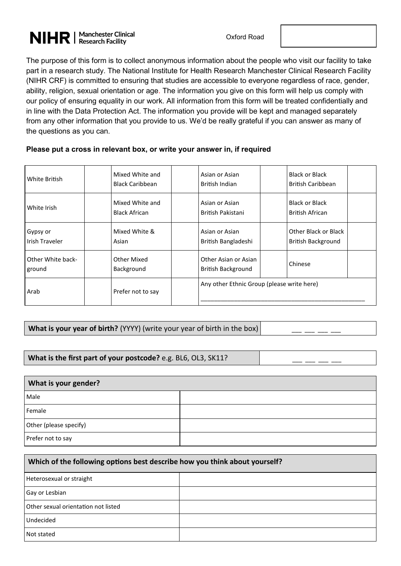# **NIHR** | Manchester Clinical

The purpose of this form is to collect anonymous information about the people who visit our facility to take part in a research study. The National Institute for Health Research Manchester Clinical Research Facility (NIHR CRF) is committed to ensuring that studies are accessible to everyone regardless of race, gender, ability, religion, sexual orientation or age. The information you give on this form will help us comply with our policy of ensuring equality in our work. All information from this form will be treated confidentially and in line with the Data Protection Act. The information you provide will be kept and managed separately from any other information that you provide to us. We'd be really grateful if you can answer as many of the questions as you can.

#### **Please put a cross in relevant box, or write your answer in, if required**

| White British     | Mixed White and        | Asian or Asian                             | <b>Black or Black</b>     |
|-------------------|------------------------|--------------------------------------------|---------------------------|
|                   | <b>Black Caribbean</b> | British Indian                             | <b>British Caribbean</b>  |
| White Irish       | Mixed White and        | Asian or Asian                             | <b>Black or Black</b>     |
|                   | <b>Black African</b>   | British Pakistani                          | British African           |
| Gypsy or          | Mixed White &          | Asian or Asian                             | Other Black or Black      |
| Irish Traveler    | Asian                  | British Bangladeshi                        | <b>British Background</b> |
| Other White back- | Other Mixed            | Other Asian or Asian                       | Chinese                   |
| ground            | Background             | <b>British Background</b>                  |                           |
| Arab              | Prefer not to say      | Any other Ethnic Group (please write here) |                           |

### **What is your year of birth?** (YYYY) (write your year of birth in the box)

#### What is the first part of your postcode? e.g. BL6, OL3, SK11?

| What is your gender?   |  |  |  |
|------------------------|--|--|--|
| Male                   |  |  |  |
| Female                 |  |  |  |
| Other (please specify) |  |  |  |
| Prefer not to say      |  |  |  |

| Which of the following options best describe how you think about yourself? |  |  |  |  |
|----------------------------------------------------------------------------|--|--|--|--|
| Heterosexual or straight                                                   |  |  |  |  |
| Gay or Lesbian                                                             |  |  |  |  |
| Other sexual orientation not listed                                        |  |  |  |  |
| Undecided                                                                  |  |  |  |  |
| Not stated                                                                 |  |  |  |  |